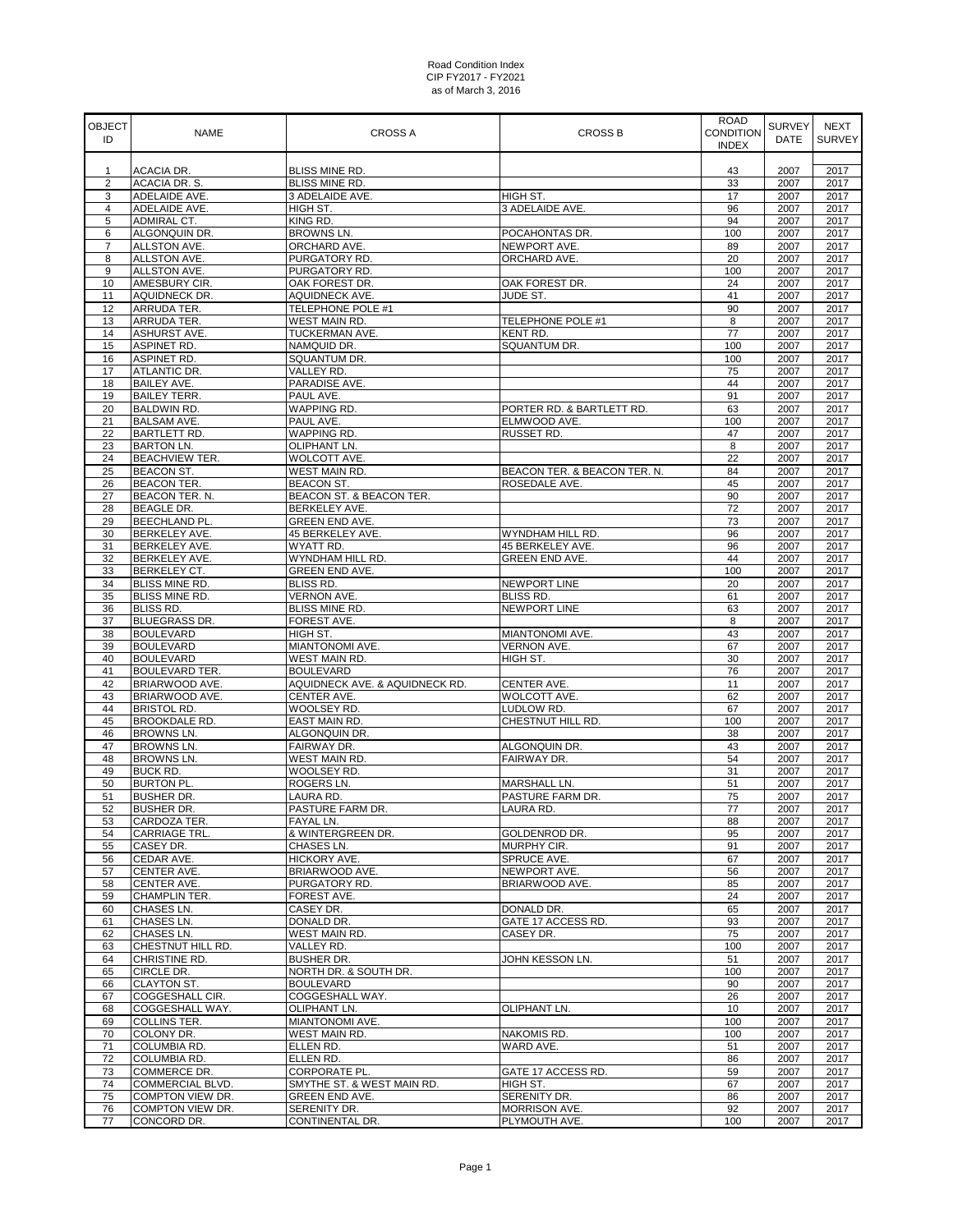| <b>OBJECT</b><br>ID | <b>NAME</b>                              | <b>CROSS A</b>                                | <b>CROSS B</b>                    | <b>ROAD</b><br><b>CONDITION</b><br><b>INDEX</b> | <b>SURVEY</b><br><b>DATE</b> | <b>NEXT</b><br><b>SURVEY</b> |
|---------------------|------------------------------------------|-----------------------------------------------|-----------------------------------|-------------------------------------------------|------------------------------|------------------------------|
|                     | <b>ACACIA DR.</b>                        | BLISS MINE RD.                                |                                   |                                                 | 2007                         | 2017                         |
| 1<br>$\overline{2}$ | ACACIA DR. S.                            | BLISS MINE RD.                                |                                   | 43<br>33                                        | 2007                         | 2017                         |
| 3                   | ADELAIDE AVE.                            | 3 ADELAIDE AVE.                               | HIGH ST.                          | 17                                              | 2007                         | 2017                         |
| $\overline{4}$      | ADELAIDE AVE.                            | HIGH ST.                                      | 3 ADELAIDE AVE.                   | 96                                              | 2007                         | 2017                         |
| 5                   | ADMIRAL CT.                              | KING RD.                                      |                                   | 94                                              | 2007                         | 2017                         |
| 6                   | ALGONQUIN DR.                            | BROWNS LN.                                    | POCAHONTAS DR.                    | 100                                             | 2007                         | 2017                         |
| $\overline{7}$      | ALLSTON AVE.                             | ORCHARD AVE.                                  | NEWPORT AVE.                      | 89                                              | 2007                         | 2017                         |
| 8<br>9              | ALLSTON AVE.<br>ALLSTON AVE.             | PURGATORY RD.<br>PURGATORY RD.                | ORCHARD AVE.                      | 20<br>100                                       | 2007<br>2007                 | 2017<br>2017                 |
| 10                  | AMESBURY CIR.                            | OAK FOREST DR.                                | OAK FOREST DR.                    | 24                                              | 2007                         | 2017                         |
| 11                  | AQUIDNECK DR.                            | AQUIDNECK AVE.                                | JUDE ST.                          | 41                                              | 2007                         | 2017                         |
| 12                  | ARRUDA TER.                              | TELEPHONE POLE #1                             |                                   | 90                                              | 2007                         | 2017                         |
| 13                  | ARRUDA TER.                              | WEST MAIN RD.                                 | TELEPHONE POLE #1                 | 8                                               | 2007                         | 2017                         |
| 14                  | ASHURST AVE.                             | TUCKERMAN AVE.                                | <b>KENT RD.</b>                   | 77                                              | 2007                         | 2017                         |
| 15                  | ASPINET RD.                              | NAMQUID DR.                                   | SQUANTUM DR.                      | 100                                             | 2007                         | 2017                         |
| 16                  | ASPINET RD.                              | SQUANTUM DR.                                  |                                   | 100                                             | 2007                         | 2017                         |
| 17<br>18            | ATLANTIC DR.<br><b>BAILEY AVE.</b>       | VALLEY RD.<br>PARADISE AVE.                   |                                   | 75<br>44                                        | 2007<br>2007                 | 2017<br>2017                 |
| 19                  | <b>BAILEY TERR.</b>                      | PAUL AVE.                                     |                                   | 91                                              | 2007                         | 2017                         |
| 20                  | <b>BALDWIN RD.</b>                       | WAPPING RD.                                   | PORTER RD. & BARTLETT RD.         | 63                                              | 2007                         | 2017                         |
| 21                  | <b>BALSAM AVE.</b>                       | PAUL AVE.                                     | ELMWOOD AVE.                      | 100                                             | 2007                         | 2017                         |
| 22                  | BARTLETT RD.                             | WAPPING RD.                                   | RUSSET RD.                        | 47                                              | 2007                         | 2017                         |
| 23                  | <b>BARTON LN.</b>                        | OLIPHANT LN.                                  |                                   | 8                                               | 2007                         | 2017                         |
| 24                  | <b>BEACHVIEW TER.</b>                    | WOLCOTT AVE.                                  |                                   | 22                                              | 2007                         | 2017                         |
| 25                  | <b>BEACON ST.</b>                        | WEST MAIN RD.                                 | BEACON TER. & BEACON TER. N.      | 84                                              | 2007                         | 2017                         |
| 26<br>27            | <b>BEACON TER.</b>                       | <b>BEACON ST.</b><br>BEACON ST. & BEACON TER. | ROSEDALE AVE.                     | 45<br>90                                        | 2007<br>2007                 | 2017<br>2017                 |
| 28                  | BEACON TER. N.<br><b>BEAGLE DR.</b>      | BERKELEY AVE.                                 |                                   | 72                                              | 2007                         | 2017                         |
| 29                  | <b>BEECHLAND PL.</b>                     | <b>GREEN END AVE.</b>                         |                                   | 73                                              | 2007                         | 2017                         |
| 30                  | BERKELEY AVE.                            | 45 BERKELEY AVE.                              | WYNDHAM HILL RD.                  | 96                                              | 2007                         | 2017                         |
| 31                  | BERKELEY AVE.                            | WYATT RD.                                     | 45 BERKELEY AVE.                  | 96                                              | 2007                         | 2017                         |
| 32                  | BERKELEY AVE.                            | WYNDHAM HILL RD.                              | GREEN END AVE.                    | 44                                              | 2007                         | 2017                         |
| 33                  | BERKELEY CT.                             | GREEN END AVE.                                |                                   | 100                                             | 2007                         | 2017                         |
| 34                  | BLISS MINE RD.                           | BLISS RD.                                     | <b>NEWPORT LINE</b>               | 20                                              | 2007                         | 2017                         |
| 35                  | <b>BLISS MINE RD.</b>                    | <b>VERNON AVE.</b>                            | <b>BLISS RD.</b>                  | 61                                              | 2007                         | 2017                         |
| 36<br>37            | <b>BLISS RD.</b><br><b>BLUEGRASS DR.</b> | BLISS MINE RD.<br>FOREST AVE.                 | NEWPORT LINE                      | 63<br>8                                         | 2007<br>2007                 | 2017<br>2017                 |
| 38                  | <b>BOULEVARD</b>                         | HIGH ST.                                      | MIANTONOMI AVE.                   | 43                                              | 2007                         | 2017                         |
| 39                  | <b>BOULEVARD</b>                         | MIANTONOMI AVE.                               | VERNON AVE.                       | 67                                              | 2007                         | 2017                         |
| 40                  | <b>BOULEVARD</b>                         | WEST MAIN RD.                                 | HIGH ST.                          | 30                                              | 2007                         | 2017                         |
| 41                  | BOULEVARD TER.                           | <b>BOULEVARD</b>                              |                                   | 76                                              | 2007                         | 2017                         |
| 42                  | BRIARWOOD AVE.                           | AQUIDNECK AVE. & AQUIDNECK RD.                | CENTER AVE.                       | 11                                              | 2007                         | 2017                         |
| 43                  | BRIARWOOD AVE.                           | CENTER AVE.                                   | WOLCOTT AVE.                      | 62                                              | 2007                         | 2017                         |
| 44                  | <b>BRISTOL RD.</b>                       | WOOLSEY RD.                                   | LUDLOW RD.                        | 67                                              | 2007                         | 2017                         |
| 45<br>46            | <b>BROOKDALE RD.</b>                     | EAST MAIN RD.<br>ALGONQUIN DR.                | CHESTNUT HILL RD.                 | 100<br>38                                       | 2007<br>2007                 | 2017<br>2017                 |
| 47                  | BROWNS LN.<br>BROWNS LN.                 | FAIRWAY DR.                                   | ALGONQUIN DR.                     | 43                                              | 2007                         | 2017                         |
| 48                  | <b>BROWNS LN.</b>                        | WEST MAIN RD.                                 | <b>FAIRWAY DR.</b>                | 54                                              | 2007                         | 2017                         |
| 49                  | <b>BUCK RD.</b>                          | WOOLSEY RD.                                   |                                   | 31                                              | 2007                         | 2017                         |
| 50                  | <b>BURTON PL.</b>                        | ROGERS LN.                                    | <b>MARSHALL LN.</b>               | 51                                              | 2007                         | 2017                         |
| 51                  | <b>BUSHER DR.</b>                        | LAURA RD.                                     | PASTURE FARM DR.                  | 75                                              | 2007                         | 2017                         |
| 52                  | <b>BUSHER DR.</b>                        | PASTURE FARM DR.                              | LAURA RD.                         | 77                                              | 2007                         | 2017                         |
| 53                  | CARDOZA TER.                             | FAYAL LN.                                     |                                   | 88                                              | 2007                         | 2017                         |
| 54                  | CARRIAGE TRL.                            | & WINTERGREEN DR.                             | <b>GOLDENROD DR.</b>              | 95                                              | 2007                         | 2017                         |
| 55<br>56            | CASEY DR.<br>CEDAR AVE.                  | CHASES LN.<br>HICKORY AVE.                    | <b>MURPHY CIR.</b><br>SPRUCE AVE. | 91<br>67                                        | 2007<br>2007                 | 2017<br>2017                 |
| 57                  | CENTER AVE.                              | BRIARWOOD AVE.                                | NEWPORT AVE.                      | 56                                              | 2007                         | 2017                         |
| 58                  | CENTER AVE.                              | PURGATORY RD.                                 | BRIARWOOD AVE.                    | 85                                              | 2007                         | 2017                         |
| 59                  | CHAMPLIN TER.                            | FOREST AVE.                                   |                                   | 24                                              | 2007                         | 2017                         |
| 60                  | CHASES LN.                               | CASEY DR.                                     | DONALD DR.                        | 65                                              | 2007                         | 2017                         |
| 61                  | CHASES LN.                               | DONALD DR.                                    | GATE 17 ACCESS RD.                | 93                                              | 2007                         | 2017                         |
| 62                  | CHASES LN.                               | WEST MAIN RD.                                 | CASEY DR.                         | 75                                              | 2007                         | 2017                         |
| 63                  | CHESTNUT HILL RD.                        | VALLEY RD.                                    |                                   | 100                                             | 2007                         | 2017                         |
| 64                  | CHRISTINE RD.                            | <b>BUSHER DR.</b>                             | JOHN KESSON LN.                   | 51                                              | 2007                         | 2017                         |
| 65<br>66            | CIRCLE DR.<br><b>CLAYTON ST.</b>         | NORTH DR. & SOUTH DR.<br><b>BOULEVARD</b>     |                                   | 100<br>90                                       | 2007<br>2007                 | 2017<br>2017                 |
| 67                  | COGGESHALL CIR.                          | COGGESHALL WAY.                               |                                   | 26                                              | 2007                         | 2017                         |
| 68                  | COGGESHALL WAY.                          | OLIPHANT LN.                                  | OLIPHANT LN.                      | 10                                              | 2007                         | 2017                         |
| 69                  | COLLINS TER.                             | MIANTONOMI AVE.                               |                                   | 100                                             | 2007                         | 2017                         |
| 70                  | COLONY DR.                               | WEST MAIN RD.                                 | NAKOMIS RD.                       | 100                                             | 2007                         | 2017                         |
| 71                  | COLUMBIA RD.                             | ELLEN RD.                                     | WARD AVE.                         | 51                                              | 2007                         | 2017                         |
| 72                  | COLUMBIA RD.                             | ELLEN RD.                                     |                                   | 86                                              | 2007                         | 2017                         |
| 73                  | <b>COMMERCE DR.</b>                      | CORPORATE PL.                                 | GATE 17 ACCESS RD.                | 59                                              | 2007                         | 2017                         |
| 74                  | COMMERCIAL BLVD.                         | SMYTHE ST. & WEST MAIN RD.                    | HIGH ST.                          | 67                                              | 2007                         | 2017                         |
| 75<br>76            | COMPTON VIEW DR.<br>COMPTON VIEW DR.     | GREEN END AVE.<br>SERENITY DR.                | SERENITY DR.<br>MORRISON AVE.     | 86<br>92                                        | 2007<br>2007                 | 2017<br>2017                 |
| 77                  | CONCORD DR.                              | CONTINENTAL DR.                               | PLYMOUTH AVE.                     | 100                                             | 2007                         | 2017                         |
|                     |                                          |                                               |                                   |                                                 |                              |                              |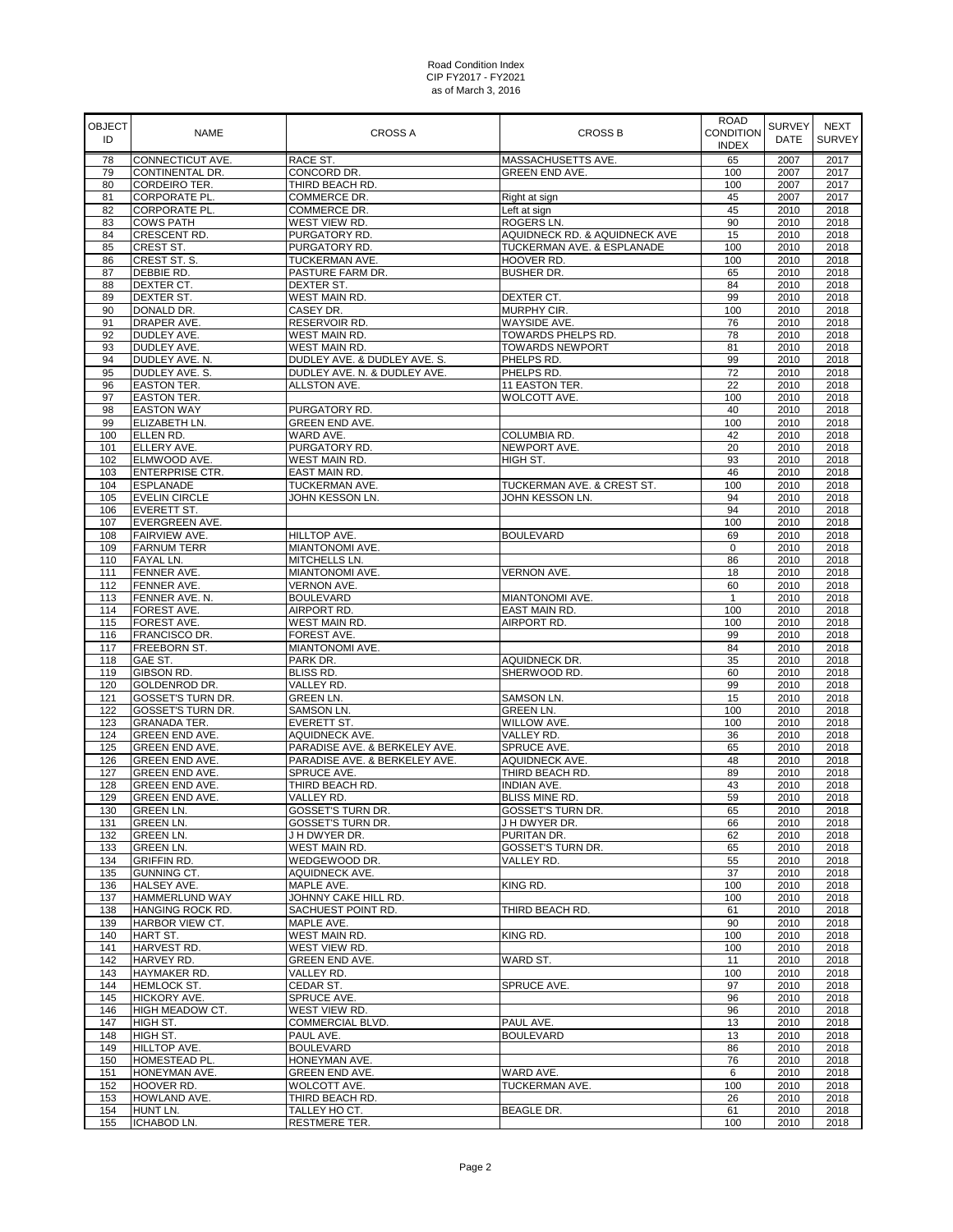| <b>OBJECT</b><br>ID | <b>NAME</b>                                  | <b>CROSS A</b>                             | <b>CROSS B</b>                      | <b>ROAD</b><br>CONDITION<br><b>INDEX</b> | <b>SURVEY</b><br><b>DATE</b> | <b>NEXT</b><br><b>SURVEY</b> |
|---------------------|----------------------------------------------|--------------------------------------------|-------------------------------------|------------------------------------------|------------------------------|------------------------------|
| 78                  | CONNECTICUT AVE.                             | RACE ST.                                   | MASSACHUSETTS AVE.                  | 65                                       | 2007                         | 2017                         |
| 79                  | CONTINENTAL DR.                              | CONCORD DR.                                | GREEN END AVE.                      | 100                                      | 2007                         | 2017                         |
| 80                  | CORDEIRO TER.                                | THIRD BEACH RD.                            |                                     | 100                                      | 2007                         | 2017                         |
| 81<br>82            | <b>CORPORATE PL.</b><br><b>CORPORATE PL.</b> | COMMERCE DR.<br>COMMERCE DR.               | Right at sign<br>Left at sign       | 45<br>45                                 | 2007<br>2010                 | 2017<br>2018                 |
| 83                  | <b>COWS PATH</b>                             | WEST VIEW RD.                              | ROGERS LN.                          | 90                                       | 2010                         | 2018                         |
| 84                  | CRESCENT RD.                                 | PURGATORY RD.                              | AQUIDNECK RD. & AQUIDNECK AVE       | 15                                       | 2010                         | 2018                         |
| 85                  | CREST ST.                                    | PURGATORY RD.                              | TUCKERMAN AVE. & ESPLANADE          | 100                                      | 2010                         | 2018                         |
| 86                  | CREST ST. S.                                 | TUCKERMAN AVE.                             | HOOVER RD.                          | 100                                      | 2010                         | 2018                         |
| 87                  | DEBBIE RD.                                   | PASTURE FARM DR.                           | <b>BUSHER DR.</b>                   | 65                                       | 2010                         | 2018                         |
| 88                  | DEXTER CT.                                   | DEXTER ST.                                 |                                     | 84                                       | 2010                         | 2018                         |
| 89                  | <b>DEXTER ST.</b>                            | <b>WEST MAIN RD.</b>                       | DEXTER CT.                          | 99                                       | 2010                         | 2018                         |
| 90<br>91            | DONALD DR.<br>DRAPER AVE.                    | CASEY DR.<br>RESERVOIR RD.                 | MURPHY CIR.<br><b>WAYSIDE AVE.</b>  | 100<br>76                                | 2010<br>2010                 | 2018<br>2018                 |
| 92                  | DUDLEY AVE.                                  | <b>WEST MAIN RD.</b>                       | TOWARDS PHELPS RD.                  | 78                                       | 2010                         | 2018                         |
| 93                  | DUDLEY AVE.                                  | WEST MAIN RD.                              | <b>TOWARDS NEWPORT</b>              | 81                                       | 2010                         | 2018                         |
| 94                  | DUDLEY AVE. N.                               | DUDLEY AVE. & DUDLEY AVE. S.               | PHELPS RD.                          | 99                                       | 2010                         | 2018                         |
| 95                  | DUDLEY AVE. S.                               | DUDLEY AVE. N. & DUDLEY AVE.               | PHELPS RD.                          | 72                                       | 2010                         | 2018                         |
| 96                  | <b>EASTON TER.</b>                           | ALLSTON AVE.                               | 11 EASTON TER.                      | 22                                       | 2010                         | 2018                         |
| 97                  | EASTON TER.                                  |                                            | WOLCOTT AVE.                        | 100                                      | 2010                         | 2018                         |
| 98                  | <b>EASTON WAY</b>                            | PURGATORY RD.                              |                                     | 40                                       | 2010                         | 2018                         |
| 99<br>100           | ELIZABETH LN.<br>ELLEN RD.                   | GREEN END AVE.<br>WARD AVE.                | COLUMBIA RD.                        | 100<br>42                                | 2010<br>2010                 | 2018<br>2018                 |
| 101                 | ELLERY AVE.                                  | PURGATORY RD.                              | NEWPORT AVE.                        | 20                                       | 2010                         | 2018                         |
| 102                 | ELMWOOD AVE.                                 | WEST MAIN RD.                              | HIGH ST.                            | 93                                       | 2010                         | 2018                         |
| 103                 | <b>ENTERPRISE CTR.</b>                       | EAST MAIN RD.                              |                                     | 46                                       | 2010                         | 2018                         |
| 104                 | <b>ESPLANADE</b>                             | TUCKERMAN AVE.                             | TUCKERMAN AVE. & CREST ST.          | 100                                      | 2010                         | 2018                         |
| 105                 | <b>EVELIN CIRCLE</b>                         | JOHN KESSON LN.                            | JOHN KESSON LN.                     | 94                                       | 2010                         | 2018                         |
| 106                 | <b>EVERETT ST.</b>                           |                                            |                                     | 94                                       | 2010                         | 2018                         |
| 107                 | <b>EVERGREEN AVE.</b>                        |                                            |                                     | 100                                      | 2010                         | 2018                         |
| 108                 | FAIRVIEW AVE.                                | HILLTOP AVE.                               | <b>BOULEVARD</b>                    | 69                                       | 2010                         | 2018                         |
| 109<br>110          | <b>FARNUM TERR</b><br><b>FAYAL LN.</b>       | MIANTONOMI AVE.<br>MITCHELLS LN.           |                                     | $\mathbf 0$<br>86                        | 2010<br>2010                 | 2018<br>2018                 |
| 111                 | FENNER AVE.                                  | MIANTONOMI AVE.                            | VERNON AVE.                         | 18                                       | 2010                         | 2018                         |
| 112                 | FENNER AVE.                                  | <b>VERNON AVE.</b>                         |                                     | 60                                       | 2010                         | 2018                         |
| 113                 | FENNER AVE. N.                               | <b>BOULEVARD</b>                           | MIANTONOMI AVE.                     | $\mathbf{1}$                             | 2010                         | 2018                         |
| 114                 | FOREST AVE.                                  | AIRPORT RD.                                | EAST MAIN RD.                       | 100                                      | 2010                         | 2018                         |
| 115                 | FOREST AVE.                                  | WEST MAIN RD.                              | AIRPORT RD.                         | 100                                      | 2010                         | 2018                         |
| 116                 | FRANCISCO DR.                                | FOREST AVE.                                |                                     | 99                                       | 2010                         | 2018                         |
| 117                 | FREEBORN ST.                                 | MIANTONOMI AVE.                            |                                     | 84                                       | 2010                         | 2018                         |
| 118<br>119          | GAE ST.<br>GIBSON RD.                        | PARK DR.<br><b>BLISS RD.</b>               | AQUIDNECK DR.<br>SHERWOOD RD.       | 35<br>60                                 | 2010<br>2010                 | 2018<br>2018                 |
| 120                 | <b>GOLDENROD DR.</b>                         | VALLEY RD.                                 |                                     | 99                                       | 2010                         | 2018                         |
| 121                 | GOSSET'S TURN DR.                            | <b>GREEN LN.</b>                           | <b>SAMSON LN.</b>                   | 15                                       | 2010                         | 2018                         |
| 122                 | GOSSET'S TURN DR.                            | SAMSON LN.                                 | <b>GREEN LN.</b>                    | 100                                      | 2010                         | 2018                         |
| 123                 | GRANADA TER.                                 | EVERETT ST.                                | WILLOW AVE.                         | 100                                      | 2010                         | 2018                         |
| 124                 | GREEN END AVE.                               | AQUIDNECK AVE.                             | VALLEY RD.                          | 36                                       | 2010                         | 2018                         |
| 125                 | GREEN END AVE.                               | PARADISE AVE. & BERKELEY AVE.              | SPRUCE AVE.                         | 65                                       | 2010                         | 2018                         |
| 126                 | GREEN END AVE.                               | PARADISE AVE. & BERKELEY AVE.              | AQUIDNECK AVE.                      | 48                                       | 2010                         | 2018                         |
| 127                 | GREEN END AVE.                               | SPRUCE AVE.<br>THIRD BEACH RD.             | THIRD BEACH RD.                     | 89                                       | 2010                         | 2018                         |
| 128<br>129          | GREEN END AVE.<br><b>GREEN END AVE.</b>      | VALLEY RD.                                 | INDIAN AVE.<br><b>BLISS MINE RD</b> | 43<br>59                                 | 2010<br>2010                 | 2018<br>2018                 |
| 130                 | <b>GREEN LN.</b>                             | GOSSET'S TURN DR.                          | GOSSET'S TURN DR.                   | 65                                       | 2010                         | 2018                         |
| 131                 | <b>GREEN LN.</b>                             | GOSSET'S TURN DR.                          | J H DWYER DR.                       | 66                                       | 2010                         | 2018                         |
| 132                 | <b>GREEN LN.</b>                             | J H DWYER DR.                              | PURITAN DR.                         | 62                                       | 2010                         | 2018                         |
| 133                 | <b>GREEN LN.</b>                             | WEST MAIN RD.                              | GOSSET'S TURN DR.                   | 65                                       | 2010                         | 2018                         |
| 134                 | <b>GRIFFIN RD.</b>                           | WEDGEWOOD DR.                              | VALLEY RD.                          | 55                                       | 2010                         | 2018                         |
| 135                 | GUNNING CT.                                  | AQUIDNECK AVE.                             |                                     | 37                                       | 2010                         | 2018                         |
| 136                 | HALSEY AVE.                                  | MAPLE AVE.                                 | KING RD.                            | 100                                      | 2010                         | 2018                         |
| 137<br>138          | <b>HAMMERLUND WAY</b><br>HANGING ROCK RD.    | JOHNNY CAKE HILL RD.<br>SACHUEST POINT RD. | THIRD BEACH RD.                     | 100<br>61                                | 2010<br>2010                 | 2018<br>2018                 |
| 139                 | HARBOR VIEW CT.                              | MAPLE AVE.                                 |                                     | 90                                       | 2010                         | 2018                         |
| 140                 | HART ST.                                     | <b>WEST MAIN RD.</b>                       | KING RD.                            | 100                                      | 2010                         | 2018                         |
| 141                 | HARVEST RD.                                  | WEST VIEW RD.                              |                                     | 100                                      | 2010                         | 2018                         |
| 142                 | HARVEY RD.                                   | GREEN END AVE.                             | WARD ST.                            | 11                                       | 2010                         | 2018                         |
| 143                 | HAYMAKER RD.                                 | VALLEY RD.                                 |                                     | 100                                      | 2010                         | 2018                         |
| 144                 | <b>HEMLOCK ST.</b>                           | CEDAR ST.                                  | SPRUCE AVE.                         | 97                                       | 2010                         | 2018                         |
| 145                 | HICKORY AVE.                                 | SPRUCE AVE.                                |                                     | 96                                       | 2010                         | 2018                         |
| 146                 | HIGH MEADOW CT.                              | WEST VIEW RD.                              |                                     | 96                                       | 2010                         | 2018                         |
| 147<br>148          | HIGH ST.<br>HIGH ST.                         | COMMERCIAL BLVD.<br>PAUL AVE.              | PAUL AVE.<br><b>BOULEVARD</b>       | 13<br>13                                 | 2010<br>2010                 | 2018<br>2018                 |
| 149                 | <b>HILLTOP AVE.</b>                          | <b>BOULEVARD</b>                           |                                     | 86                                       | 2010                         | 2018                         |
| 150                 | HOMESTEAD PL.                                | HONEYMAN AVE.                              |                                     | 76                                       | 2010                         | 2018                         |
| 151                 | HONEYMAN AVE.                                | GREEN END AVE.                             | WARD AVE.                           | 6                                        | 2010                         | 2018                         |
| 152                 | HOOVER RD.                                   | WOLCOTT AVE.                               | TUCKERMAN AVE.                      | 100                                      | 2010                         | 2018                         |
| 153                 | HOWLAND AVE.                                 | THIRD BEACH RD.                            |                                     | 26                                       | 2010                         | 2018                         |
| 154                 | HUNT LN.                                     | TALLEY HO CT.                              | <b>BEAGLE DR.</b>                   | 61                                       | 2010                         | 2018                         |
| 155                 | ICHABOD LN.                                  | RESTMERE TER.                              |                                     | 100                                      | 2010                         | 2018                         |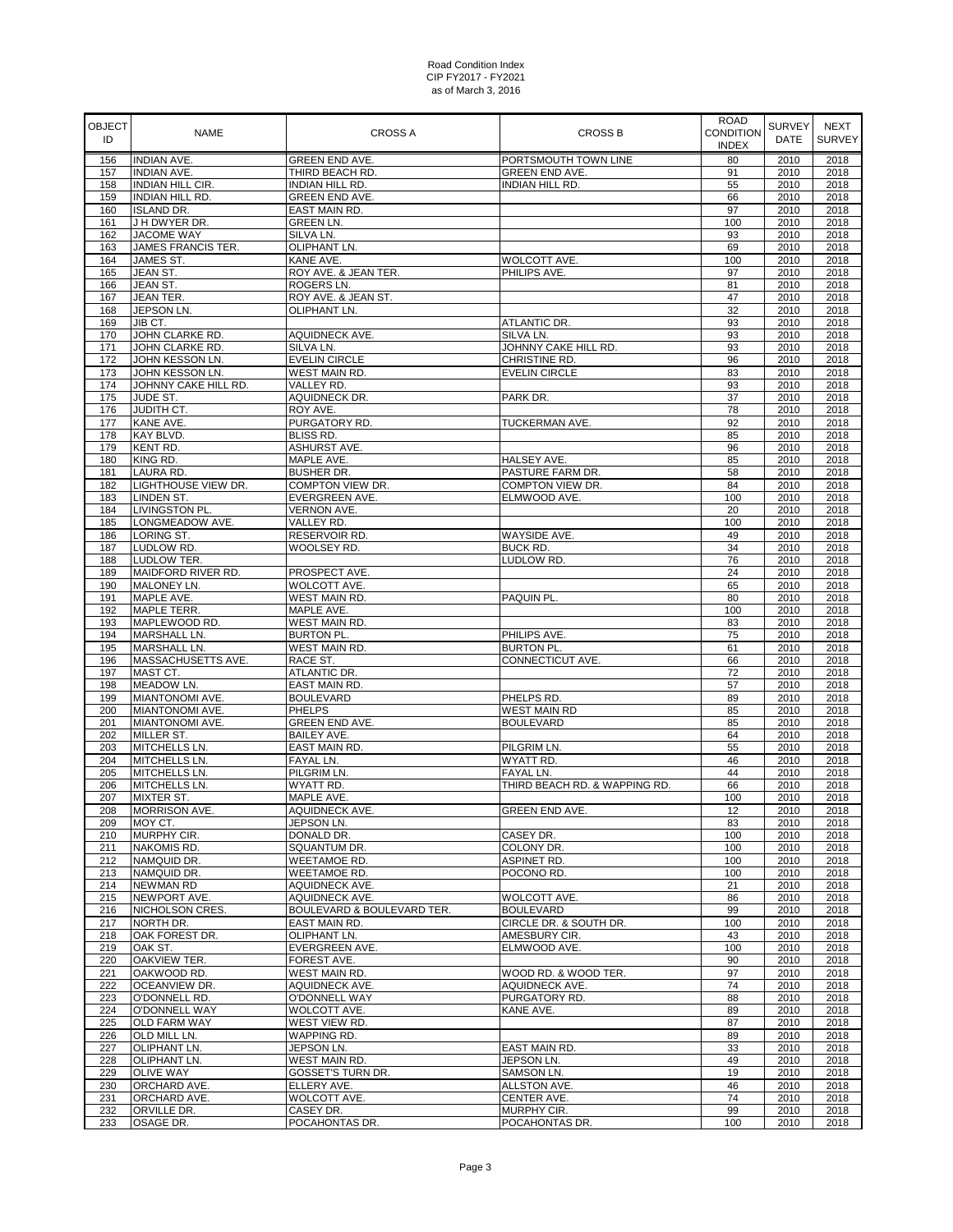| <b>OBJECT</b><br>ID | <b>NAME</b>                                 | <b>CROSS A</b>                      | <b>CROSS B</b>                         | <b>ROAD</b><br><b>CONDITION</b><br><b>INDEX</b> | <b>SURVEY</b><br><b>DATE</b> | <b>NEXT</b><br><b>SURVEY</b> |
|---------------------|---------------------------------------------|-------------------------------------|----------------------------------------|-------------------------------------------------|------------------------------|------------------------------|
| 156                 | <b>INDIAN AVE.</b>                          | GREEN END AVE.                      | PORTSMOUTH TOWN LINE                   | 80                                              | 2010                         | 2018                         |
| 157                 | <b>INDIAN AVE.</b>                          | THIRD BEACH RD.                     | GREEN END AVE.                         | 91                                              | 2010                         | 2018                         |
| 158                 | <b>INDIAN HILL CIR.</b>                     | INDIAN HILL RD.                     | <b>INDIAN HILL RD.</b>                 | 55                                              | 2010                         | 2018                         |
| 159<br>160          | <b>INDIAN HILL RD.</b><br><b>ISLAND DR.</b> | GREEN END AVE.<br>EAST MAIN RD.     |                                        | 66<br>97                                        | 2010<br>2010                 | 2018<br>2018                 |
| 161                 | J H DWYER DR.                               | GREEN LN.                           |                                        | 100                                             | 2010                         | 2018                         |
| 162                 | JACOME WAY                                  | SILVA LN.                           |                                        | 93                                              | 2010                         | 2018                         |
| 163                 | JAMES FRANCIS TER.                          | OLIPHANT LN.                        |                                        | 69                                              | 2010                         | 2018                         |
| 164                 | JAMES ST.                                   | KANE AVE.                           | WOLCOTT AVE.                           | 100                                             | 2010                         | 2018                         |
| 165                 | JEAN ST.                                    | ROY AVE. & JEAN TER.                | PHILIPS AVE.                           | 97                                              | 2010                         | 2018                         |
| 166                 | JEAN ST.                                    | ROGERS LN.                          |                                        | 81                                              | 2010                         | 2018                         |
| 167                 | <b>JEAN TER.</b>                            | ROY AVE. & JEAN ST.<br>OLIPHANT LN. |                                        | 47<br>32                                        | 2010                         | 2018                         |
| 168<br>169          | JEPSON LN.<br>JIB CT.                       |                                     | ATLANTIC DR.                           | 93                                              | 2010<br>2010                 | 2018<br>2018                 |
| 170                 | JOHN CLARKE RD.                             | AQUIDNECK AVE.                      | SILVA LN.                              | 93                                              | 2010                         | 2018                         |
| 171                 | JOHN CLARKE RD.                             | SILVA LN.                           | JOHNNY CAKE HILL RD.                   | 93                                              | 2010                         | 2018                         |
| 172                 | JOHN KESSON LN.                             | <b>EVELIN CIRCLE</b>                | CHRISTINE RD.                          | 96                                              | 2010                         | 2018                         |
| 173                 | JOHN KESSON LN.                             | WEST MAIN RD.                       | <b>EVELIN CIRCLE</b>                   | 83                                              | 2010                         | 2018                         |
| 174                 | JOHNNY CAKE HILL RD.                        | VALLEY RD.                          |                                        | 93                                              | 2010                         | 2018                         |
| 175                 | JUDE ST.                                    | AQUIDNECK DR.                       | PARK DR.                               | 37                                              | 2010                         | 2018                         |
| 176<br>177          | JUDITH CT.<br>KANE AVE.                     | ROY AVE.<br>PURGATORY RD.           | TUCKERMAN AVE.                         | 78<br>92                                        | 2010<br>2010                 | 2018<br>2018                 |
| 178                 | KAY BLVD.                                   | BLISS RD.                           |                                        | 85                                              | 2010                         | 2018                         |
| 179                 | KENT RD.                                    | ASHURST AVE.                        |                                        | 96                                              | 2010                         | 2018                         |
| 180                 | KING RD.                                    | MAPLE AVE.                          | HALSEY AVE.                            | 85                                              | 2010                         | 2018                         |
| 181                 | LAURA RD.                                   | <b>BUSHER DR.</b>                   | PASTURE FARM DR.                       | 58                                              | 2010                         | 2018                         |
| 182                 | LIGHTHOUSE VIEW DR.                         | COMPTON VIEW DR.                    | COMPTON VIEW DR.                       | 84                                              | 2010                         | 2018                         |
| 183                 | <b>LINDEN ST.</b>                           | EVERGREEN AVE.                      | ELMWOOD AVE.                           | 100                                             | 2010                         | 2018                         |
| 184                 | LIVINGSTON PL.                              | VERNON AVE.                         |                                        | 20                                              | 2010                         | 2018                         |
| 185<br>186          | LONGMEADOW AVE.<br>LORING ST.               | VALLEY RD.<br>RESERVOIR RD.         | <b>WAYSIDE AVE.</b>                    | 100<br>49                                       | 2010<br>2010                 | 2018<br>2018                 |
| 187                 | LUDLOW RD.                                  | WOOLSEY RD.                         | <b>BUCK RD.</b>                        | 34                                              | 2010                         | 2018                         |
| 188                 | LUDLOW TER.                                 |                                     | LUDLOW RD.                             | 76                                              | 2010                         | 2018                         |
| 189                 | MAIDFORD RIVER RD.                          | PROSPECT AVE.                       |                                        | 24                                              | 2010                         | 2018                         |
| 190                 | MALONEY LN.                                 | WOLCOTT AVE.                        |                                        | 65                                              | 2010                         | 2018                         |
| 191                 | MAPLE AVE.                                  | WEST MAIN RD.                       | PAQUIN PL.                             | 80                                              | 2010                         | 2018                         |
| 192                 | <b>MAPLE TERR.</b>                          | MAPLE AVE.                          |                                        | 100                                             | 2010                         | 2018                         |
| 193                 | MAPLEWOOD RD.                               | WEST MAIN RD.                       |                                        | 83                                              | 2010                         | 2018                         |
| 194<br>195          | <b>MARSHALL LN.</b><br><b>MARSHALL LN.</b>  | <b>BURTON PL.</b><br>WEST MAIN RD.  | PHILIPS AVE.<br><b>BURTON PL.</b>      | 75<br>61                                        | 2010<br>2010                 | 2018<br>2018                 |
| 196                 | MASSACHUSETTS AVE.                          | RACE ST.                            | CONNECTICUT AVE.                       | 66                                              | 2010                         | 2018                         |
| 197                 | MAST CT.                                    | ATLANTIC DR.                        |                                        | 72                                              | 2010                         | 2018                         |
| 198                 | MEADOW LN.                                  | EAST MAIN RD.                       |                                        | 57                                              | 2010                         | 2018                         |
| 199                 | MIANTONOMI AVE.                             | <b>BOULEVARD</b>                    | PHELPS RD.                             | 89                                              | 2010                         | 2018                         |
| 200                 | MIANTONOMI AVE.                             | <b>PHELPS</b>                       | <b>WEST MAIN RD</b>                    | 85                                              | 2010                         | 2018                         |
| 201                 | MIANTONOMI AVE.                             | GREEN END AVE.                      | <b>BOULEVARD</b>                       | 85                                              | 2010                         | 2018                         |
| 202                 | MILLER ST.                                  | BAILEY AVE.                         |                                        | 64                                              | 2010                         | 2018                         |
| 203<br>204          | MITCHELLS LN.                               | EAST MAIN RD.                       | PILGRIM LN.                            | 55                                              | 2010                         | 2018                         |
| 205                 | MITCHELLS LN.<br>MITCHELLS LN.              | FAYAL LN.<br>PILGRIM LN.            | WYATT RD.<br><b>FAYAL LN.</b>          | 46<br>44                                        | 2010<br>2010                 | 2018<br>2018                 |
| 206                 | MITCHELLS LN.                               | WYATT RD.                           | THIRD BEACH RD, & WAPPING RD.          | 66                                              | 2010                         | 2018                         |
| 207                 | MIXTER ST.                                  | MAPLE AVE.                          |                                        | 100                                             | 2010                         | 2018                         |
| 208                 | <b>MORRISON AVE.</b>                        | <b>AQUIDNECK AVE.</b>               | <b>GREEN END AVE.</b>                  | 12                                              | 2010                         | 2018                         |
| 209                 | MOY CT.                                     | JEPSON LN.                          |                                        | 83                                              | 2010                         | 2018                         |
| 210                 | MURPHY CIR.                                 | DONALD DR.                          | CASEY DR.                              | 100                                             | 2010                         | 2018                         |
| 211                 | NAKOMIS RD.                                 | SQUANTUM DR.                        | COLONY DR.                             | 100                                             | 2010                         | 2018                         |
| 212                 | NAMQUID DR.<br>NAMQUID DR.                  | <b>WEETAMOE RD.</b><br>WEETAMOE RD. | ASPINET RD.<br>POCONO RD.              | 100<br>100                                      | 2010<br>2010                 | 2018                         |
| 213<br>214          | <b>NEWMAN RD</b>                            | AQUIDNECK AVE.                      |                                        | 21                                              | 2010                         | 2018<br>2018                 |
| 215                 | NEWPORT AVE.                                | AQUIDNECK AVE.                      | WOLCOTT AVE.                           | 86                                              | 2010                         | 2018                         |
| 216                 | NICHOLSON CRES.                             | BOULEVARD & BOULEVARD TER.          | <b>BOULEVARD</b>                       | 99                                              | 2010                         | 2018                         |
| 217                 | NORTH DR.                                   | EAST MAIN RD.                       | CIRCLE DR. & SOUTH DR.                 | 100                                             | 2010                         | 2018                         |
| 218                 | OAK FOREST DR.                              | OLIPHANT LN.                        | AMESBURY CIR.                          | 43                                              | 2010                         | 2018                         |
| 219                 | OAK ST.                                     | EVERGREEN AVE.                      | ELMWOOD AVE.                           | 100                                             | 2010                         | 2018                         |
| 220                 | OAKVIEW TER.                                | FOREST AVE.                         |                                        | 90                                              | 2010                         | 2018                         |
| 221<br>222          | OAKWOOD RD.<br>OCEANVIEW DR.                | WEST MAIN RD.                       | WOOD RD. & WOOD TER.<br>AQUIDNECK AVE. | 97<br>74                                        | 2010<br>2010                 | 2018<br>2018                 |
| 223                 | O'DONNELL RD.                               | AQUIDNECK AVE.<br>O'DONNELL WAY     | PURGATORY RD.                          | 88                                              | 2010                         | 2018                         |
| 224                 | <b>O'DONNELL WAY</b>                        | WOLCOTT AVE.                        | KANE AVE.                              | 89                                              | 2010                         | 2018                         |
| 225                 | <b>OLD FARM WAY</b>                         | WEST VIEW RD.                       |                                        | 87                                              | 2010                         | 2018                         |
| 226                 | OLD MILL LN.                                | WAPPING RD.                         |                                        | 89                                              | 2010                         | 2018                         |
| 227                 | OLIPHANT LN.                                | JEPSON LN.                          | EAST MAIN RD.                          | 33                                              | 2010                         | 2018                         |
| 228                 | OLIPHANT LN.                                | WEST MAIN RD.                       | JEPSON LN.                             | 49                                              | 2010                         | 2018                         |
| 229                 | <b>OLIVE WAY</b>                            | GOSSET'S TURN DR.                   | SAMSON LN.                             | 19                                              | 2010                         | 2018                         |
| 230                 | ORCHARD AVE.                                | ELLERY AVE.                         | <b>ALLSTON AVE.</b>                    | 46                                              | 2010                         | 2018                         |
| 231<br>232          | ORCHARD AVE.<br>ORVILLE DR.                 | WOLCOTT AVE.<br>CASEY DR.           | CENTER AVE.<br>MURPHY CIR.             | 74<br>99                                        | 2010<br>2010                 | 2018<br>2018                 |
| 233                 | OSAGE DR.                                   | POCAHONTAS DR.                      | POCAHONTAS DR.                         | 100                                             | 2010                         | 2018                         |
|                     |                                             |                                     |                                        |                                                 |                              |                              |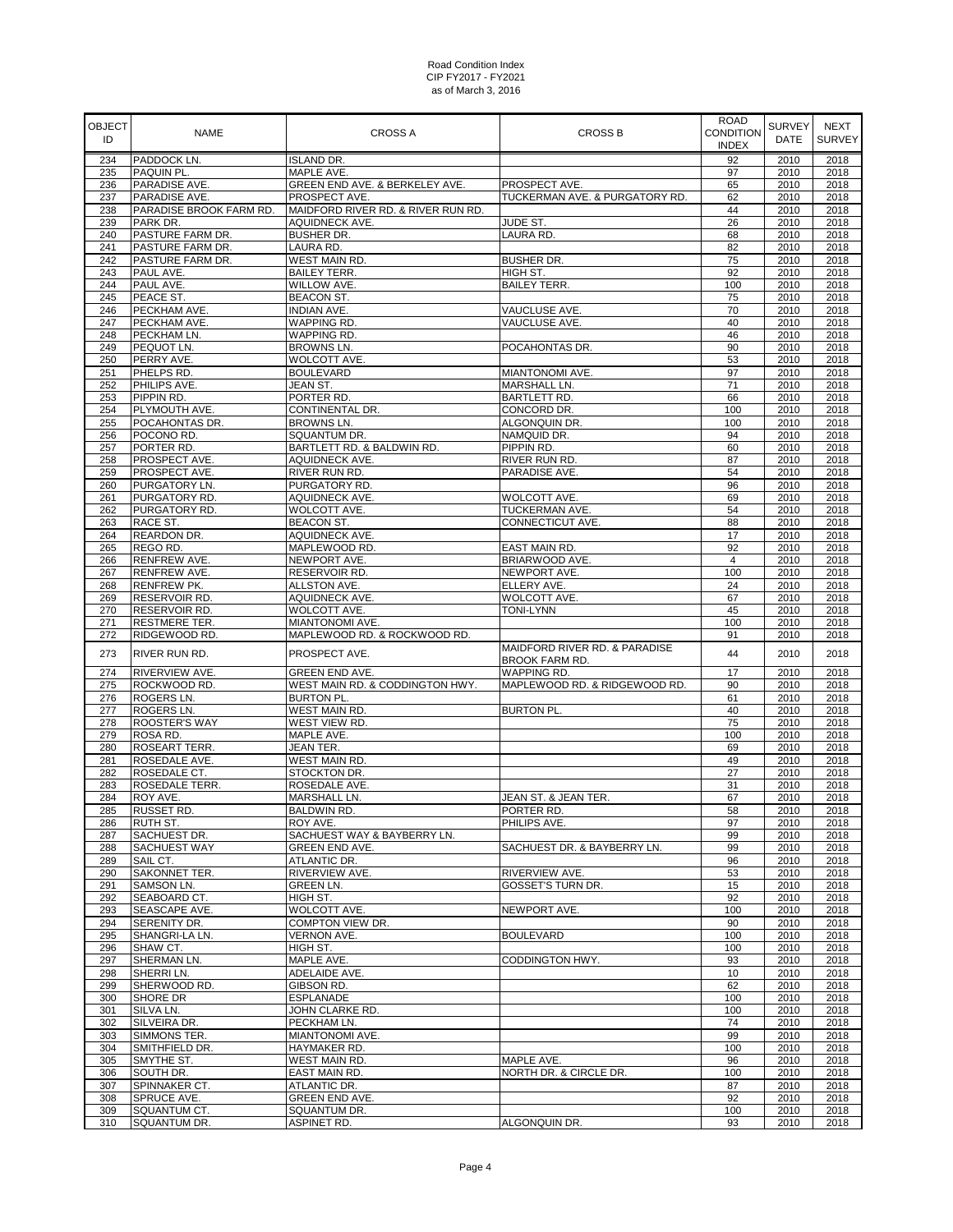| OBJECT<br>ID | <b>NAME</b>                         | <b>CROSS A</b>                                              | CROSS B                                         | <b>ROAD</b><br><b>CONDITION</b><br><b>INDEX</b> | <b>SURVEY</b><br>DATE | <b>NEXT</b><br><b>SURVEY</b> |
|--------------|-------------------------------------|-------------------------------------------------------------|-------------------------------------------------|-------------------------------------------------|-----------------------|------------------------------|
| 234          | PADDOCK LN.                         | <b>ISLAND DR.</b>                                           |                                                 | 92                                              | 2010                  | 2018                         |
| 235          | PAQUIN PL.                          | MAPLE AVE.                                                  |                                                 | 97                                              | 2010                  | 2018                         |
| 236          | PARADISE AVE.                       | GREEN END AVE. & BERKELEY AVE.                              | PROSPECT AVE.                                   | 65                                              | 2010                  | 2018                         |
| 237          | PARADISE AVE.                       | PROSPECT AVE.                                               | TUCKERMAN AVE. & PURGATORY RD.                  | 62                                              | 2010                  | 2018                         |
| 238          | PARADISE BROOK FARM RD.             | MAIDFORD RIVER RD. & RIVER RUN RD.<br><b>AQUIDNECK AVE.</b> |                                                 | 44                                              | 2010                  | 2018                         |
| 239<br>240   | PARK DR.<br>PASTURE FARM DR.        | <b>BUSHER DR.</b>                                           | JUDE ST.<br>LAURA RD.                           | 26<br>68                                        | 2010<br>2010          | 2018<br>2018                 |
| 241          | PASTURE FARM DR.                    | LAURA RD.                                                   |                                                 | 82                                              | 2010                  | 2018                         |
| 242          | PASTURE FARM DR.                    | WEST MAIN RD.                                               | <b>BUSHER DR.</b>                               | 75                                              | 2010                  | 2018                         |
| 243          | PAUL AVE.                           | <b>BAILEY TERR.</b>                                         | HIGH ST.                                        | 92                                              | 2010                  | 2018                         |
| 244          | PAUL AVE.                           | WILLOW AVE.                                                 | <b>BAILEY TERR.</b>                             | 100                                             | 2010                  | 2018                         |
| 245          | PEACE ST.                           | <b>BEACON ST.</b>                                           |                                                 | 75                                              | 2010                  | 2018                         |
| 246          | PECKHAM AVE.                        | INDIAN AVE.                                                 | VAUCLUSE AVE.                                   | 70                                              | 2010                  | 2018                         |
| 247          | PECKHAM AVE.                        | WAPPING RD.                                                 | VAUCLUSE AVE.                                   | 40                                              | 2010                  | 2018                         |
| 248          | PECKHAM LN.                         | <b>WAPPING RD.</b>                                          |                                                 | 46                                              | 2010                  | 2018                         |
| 249          | PEQUOT LN.                          | BROWNS LN.                                                  | POCAHONTAS DR.                                  | 90                                              | 2010                  | 2018                         |
| 250          | PERRY AVE.                          | WOLCOTT AVE.                                                |                                                 | 53                                              | 2010                  | 2018                         |
| 251<br>252   | PHELPS RD.<br>PHILIPS AVE.          | <b>BOULEVARD</b><br>JEAN ST.                                | MIANTONOMI AVE.<br>MARSHALL LN.                 | 97<br>71                                        | 2010<br>2010          | 2018<br>2018                 |
| 253          | PIPPIN RD.                          | PORTER RD.                                                  | <b>BARTLETT RD.</b>                             | 66                                              | 2010                  | 2018                         |
| 254          | PLYMOUTH AVE.                       | CONTINENTAL DR.                                             | CONCORD DR.                                     | 100                                             | 2010                  | 2018                         |
| 255          | POCAHONTAS DR.                      | BROWNS LN.                                                  | ALGONQUIN DR.                                   | 100                                             | 2010                  | 2018                         |
| 256          | POCONO RD.                          | SQUANTUM DR.                                                | NAMQUID DR.                                     | 94                                              | 2010                  | 2018                         |
| 257          | PORTER RD.                          | BARTLETT RD. & BALDWIN RD.                                  | PIPPIN RD.                                      | 60                                              | 2010                  | 2018                         |
| 258          | PROSPECT AVE.                       | AQUIDNECK AVE.                                              | RIVER RUN RD.                                   | 87                                              | 2010                  | 2018                         |
| 259          | PROSPECT AVE.                       | RIVER RUN RD.                                               | PARADISE AVE.                                   | 54                                              | 2010                  | 2018                         |
| 260          | PURGATORY LN.                       | PURGATORY RD.                                               |                                                 | 96                                              | 2010                  | 2018                         |
| 261          | PURGATORY RD.                       | AQUIDNECK AVE.                                              | WOLCOTT AVE                                     | 69                                              | 2010                  | 2018                         |
| 262          | PURGATORY RD.                       | WOLCOTT AVE.                                                | TUCKERMAN AVE.                                  | 54                                              | 2010                  | 2018                         |
| 263          | RACE ST.                            | <b>BEACON ST.</b>                                           | CONNECTICUT AVE.                                | 88                                              | 2010                  | 2018                         |
| 264<br>265   | <b>REARDON DR.</b><br>REGO RD.      | AQUIDNECK AVE.<br>MAPLEWOOD RD.                             | EAST MAIN RD.                                   | 17<br>92                                        | 2010<br>2010          | 2018<br>2018                 |
| 266          | RENFREW AVE.                        | NEWPORT AVE.                                                | BRIARWOOD AVE.                                  | $\overline{4}$                                  | 2010                  | 2018                         |
| 267          | <b>RENFREW AVE.</b>                 | RESERVOIR RD.                                               | NEWPORT AVE.                                    | 100                                             | 2010                  | 2018                         |
| 268          | <b>RENFREW PK.</b>                  | ALLSTON AVE.                                                | ELLERY AVE.                                     | 24                                              | 2010                  | 2018                         |
| 269          | RESERVOIR RD.                       | AQUIDNECK AVE.                                              | WOLCOTT AVE.                                    | 67                                              | 2010                  | 2018                         |
| 270          | RESERVOIR RD.                       | WOLCOTT AVE.                                                | <b>TONI-LYNN</b>                                | 45                                              | 2010                  | 2018                         |
| 271          | <b>RESTMERE TER.</b>                | MIANTONOMI AVE.                                             |                                                 | 100                                             | 2010                  | 2018                         |
| 272          | RIDGEWOOD RD.                       | MAPLEWOOD RD. & ROCKWOOD RD.                                |                                                 | 91                                              | 2010                  | 2018                         |
| 273          | RIVER RUN RD.                       | PROSPECT AVE.                                               | MAIDFORD RIVER RD. & PARADISE<br>BROOK FARM RD. | 44                                              | 2010                  | 2018                         |
| 274          | RIVERVIEW AVE.                      | GREEN END AVE.                                              | <b>WAPPING RD.</b>                              | 17                                              | 2010                  | 2018                         |
| 275          | ROCKWOOD RD.                        | WEST MAIN RD. & CODDINGTON HWY.                             | MAPLEWOOD RD. & RIDGEWOOD RD.                   | 90                                              | 2010                  | 2018                         |
| 276<br>277   | ROGERS LN.<br>ROGERS LN.            | <b>BURTON PL.</b><br>WEST MAIN RD.                          | <b>BURTON PL.</b>                               | 61<br>40                                        | 2010<br>2010          | 2018<br>2018                 |
| 278          | ROOSTER'S WAY                       | WEST VIEW RD.                                               |                                                 | 75                                              | 2010                  | 2018                         |
| 279          | ROSA RD.                            | MAPLE AVE.                                                  |                                                 | 100                                             | 2010                  | 2018                         |
| 280          | ROSEART TERR.                       | JEAN TER.                                                   |                                                 | 69                                              | 2010                  | 2018                         |
| 281          | ROSEDALE AVE.                       | WEST MAIN RD.                                               |                                                 | 49                                              | 2010                  | 2018                         |
| 282          | ROSEDALE CT.                        | STOCKTON DR.                                                |                                                 | 27                                              | 2010                  | 2018                         |
| 283          | <b>ROSEDALE TERR.</b>               | ROSEDALE AVE.                                               |                                                 | 31                                              | 2010                  | 2018                         |
| 284          | ROY AVE.                            | MARSHALL LN.                                                | JEAN ST. & JEAN TER.                            | 67                                              | 2010                  | 2018                         |
| 285          | <b>RUSSET RD</b>                    | <b>BALDWIN RD.</b>                                          | PORTER RD.                                      | 58                                              | 2010                  | 2018                         |
| 286          | RUTH ST.                            | ROY AVE.                                                    | PHILIPS AVE.                                    | 97                                              | 2010                  | 2018                         |
| 287          | SACHUEST DR.<br><b>SACHUEST WAY</b> | SACHUEST WAY & BAYBERRY LN.<br>GREEN END AVE.               |                                                 | 99                                              | 2010                  | 2018                         |
| 288<br>289   | SAIL CT.                            | ATLANTIC DR.                                                | SACHUEST DR. & BAYBERRY LN.                     | 99<br>96                                        | 2010<br>2010          | 2018<br>2018                 |
| 290          | SAKONNET TER.                       | RIVERVIEW AVE.                                              | RIVERVIEW AVE.                                  | 53                                              | 2010                  | 2018                         |
| 291          | SAMSON LN.                          | <b>GREEN LN.</b>                                            | GOSSET'S TURN DR.                               | 15                                              | 2010                  | 2018                         |
| 292          | SEABOARD CT.                        | HIGH ST.                                                    |                                                 | 92                                              | 2010                  | 2018                         |
| 293          | SEASCAPE AVE.                       | WOLCOTT AVE.                                                | NEWPORT AVE.                                    | 100                                             | 2010                  | 2018                         |
| 294          | SERENITY DR.                        | COMPTON VIEW DR.                                            |                                                 | 90                                              | 2010                  | 2018                         |
| 295          | SHANGRI-LA LN.                      | <b>VERNON AVE.</b>                                          | <b>BOULEVARD</b>                                | 100                                             | 2010                  | 2018                         |
| 296          | SHAW CT.                            | HIGH ST.                                                    |                                                 | 100                                             | 2010                  | 2018                         |
| 297          | SHERMAN LN.                         | MAPLE AVE.                                                  | CODDINGTON HWY.                                 | 93                                              | 2010                  | 2018                         |
| 298<br>299   | SHERRI LN.<br>SHERWOOD RD.          | ADELAIDE AVE.<br>GIBSON RD.                                 |                                                 | 10<br>62                                        | 2010<br>2010          | 2018<br>2018                 |
| 300          | SHORE DR                            | <b>ESPLANADE</b>                                            |                                                 | 100                                             | 2010                  | 2018                         |
| 301          | SILVA LN.                           | JOHN CLARKE RD.                                             |                                                 | 100                                             | 2010                  | 2018                         |
| 302          | SILVEIRA DR.                        | PECKHAM LN.                                                 |                                                 | 74                                              | 2010                  | 2018                         |
| 303          | SIMMONS TER.                        | MIANTONOMI AVE.                                             |                                                 | 99                                              | 2010                  | 2018                         |
| 304          | SMITHFIELD DR.                      | HAYMAKER RD.                                                |                                                 | 100                                             | 2010                  | 2018                         |
| 305          | SMYTHE ST.                          | WEST MAIN RD.                                               | MAPLE AVE.                                      | 96                                              | 2010                  | 2018                         |
| 306          | SOUTH DR.                           | EAST MAIN RD.                                               | NORTH DR. & CIRCLE DR.                          | 100                                             | 2010                  | 2018                         |
| 307          | SPINNAKER CT.                       | ATLANTIC DR.                                                |                                                 | 87                                              | 2010                  | 2018                         |
| 308          | SPRUCE AVE.                         | GREEN END AVE.                                              |                                                 | 92                                              | 2010                  | 2018                         |
| 309<br>310   | SQUANTUM CT.<br>SQUANTUM DR.        | SQUANTUM DR.<br>ASPINET RD.                                 | ALGONQUIN DR.                                   | 100<br>93                                       | 2010<br>2010          | 2018<br>2018                 |
|              |                                     |                                                             |                                                 |                                                 |                       |                              |